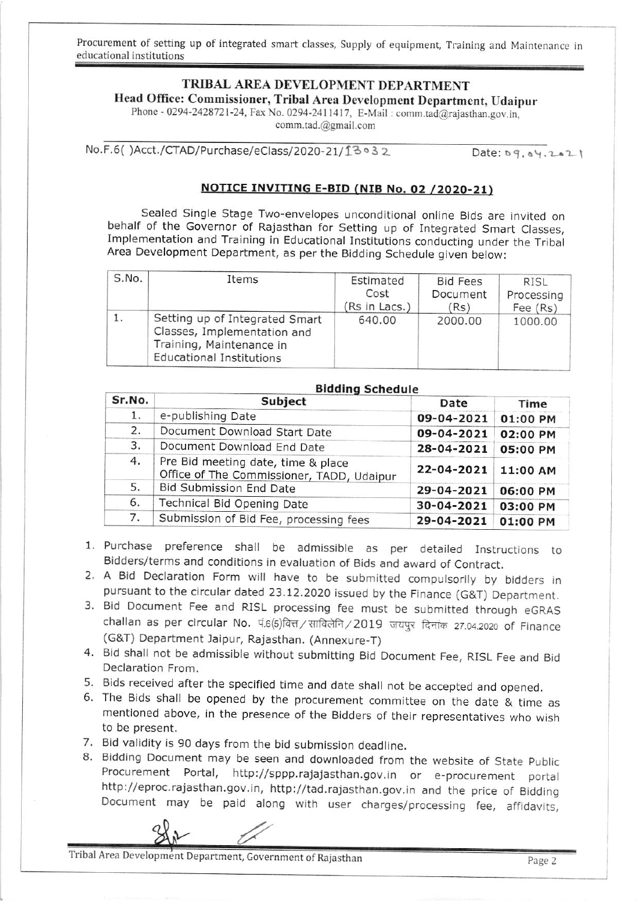Procurement of setting up of integrated smart classes, Supply of equipment, Training and Maintenance in educational institutions

## TRIBAL AREA DEVELOPMENT DEPARTMENT

Head Office: Commissioner, Tribal Area Development Department, Udaipur

Phone - 0294-2428721-24, Fax No. 0294-2411417, E-Mail: comm.tad@rajasthan.gov.in. comm.tad.@gmail.com

No.F.6()Acct./CTAD/Purchase/eClass/2020-21/13032

 $Date: 09.04.2021$ 

## NOTICE INVITING E-BID (NIB No. 02 / 2020-21)

Sealed Single Stage Two-envelopes unconditional online Bids are invited on behalf of the Governor of Rajasthan for Setting up of Integrated Smart Classes, Implementation and Training in Educational Institutions conducting under the Tribal Area Development Department, as per the Bidding Schedule given below:

| S.No. | Items                                                                                                                        | Estimated<br>Cost<br>(Rs in Lacs.) | <b>Bid Fees</b><br>Document<br>(Rs) | RISL<br>Processing<br>Fee (Rs) |
|-------|------------------------------------------------------------------------------------------------------------------------------|------------------------------------|-------------------------------------|--------------------------------|
|       | Setting up of Integrated Smart<br>Classes, Implementation and<br>Training, Maintenance in<br><b>Educational Institutions</b> | 640.00                             | 2000.00                             | 1000.00                        |

| Sr.No. | Subject                                                                         | Date       | Time     |
|--------|---------------------------------------------------------------------------------|------------|----------|
| 1.     | e-publishing Date                                                               | 09-04-2021 | 01:00 PM |
| 2.     | Document Download Start Date                                                    | 09-04-2021 | 02:00 PM |
| 3.     | Document Download End Date                                                      | 28-04-2021 | 05:00 PM |
| 4.     | Pre Bid meeting date, time & place<br>Office of The Commissioner, TADD, Udaipur | 22-04-2021 | 11:00 AM |
| 5.     | Bid Submission End Date                                                         | 29-04-2021 | 06:00 PM |
| 6.     | Technical Bid Opening Date                                                      | 30-04-2021 | 03:00 PM |
| 7.     | Submission of Bid Fee, processing fees                                          | 29-04-2021 | 01:00 PM |

## **Bidding Schedule**

- 1. Purchase preference shall be admissible as per detailed Instructions to Bidders/terms and conditions in evaluation of Bids and award of Contract.
- 2. A Bid Declaration Form will have to be submitted compulsorily by bidders in pursuant to the circular dated 23.12.2020 issued by the Finance (G&T) Department.
- 3. Bid Document Fee and RISL processing fee must be submitted through eGRAS challan as per circular No. पं.6(5) वित्त / साविलेनि / 2019 जयपुर दिनांक 27.04.2020 of Finance (G&T) Department Jaipur, Rajasthan. (Annexure-T)
- 4. Bid shall not be admissible without submitting Bid Document Fee, RISL Fee and Bid Declaration From.
- 5. Bids received after the specified time and date shall not be accepted and opened.
- 6. The Bids shall be opened by the procurement committee on the date & time as mentioned above, in the presence of the Bidders of their representatives who wish to be present.
- 7. Bid validity is 90 days from the bid submission deadline.
- 8. Bidding Document may be seen and downloaded from the website of State Public Procurement Portal, http://sppp.rajajasthan.gov.in or e-procurement portal http://eproc.rajasthan.gov.in, http://tad.rajasthan.gov.in and the price of Bidding Document may be paid along with user charges/processing fee, affidavits,

Tribal Area Development Department, Government of Rajasthan